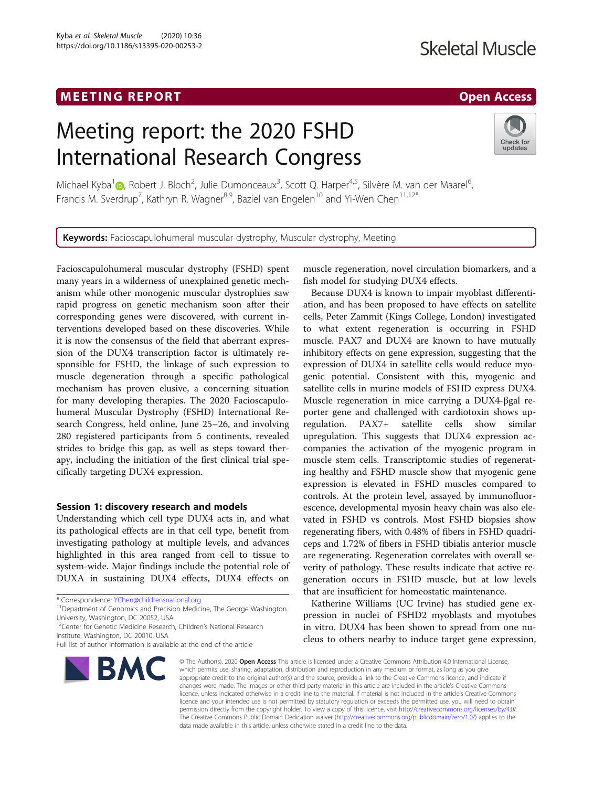# MEETING REPORT AND RESERVE THE SERVE AND THE SERVE AND RESERVE THE SERVE AND RESERVE AND RESERVE AND RESERVE A

# **Skeletal Muscle**

# Meeting report: the 2020 FSHD International Research Congress



Michael Kyba<sup>1</sup> (D[,](http://orcid.org/0000-0002-5579-7534) Robert J. Bloch<sup>2</sup>, Julie Dumonceaux<sup>3</sup>, Scott Q. Harper<sup>4,5</sup>, Silvère M. van der Maarel<sup>6</sup> , Francis M. Sverdrup<sup>7</sup>, Kathryn R. Wagner<sup>8,9</sup>, Baziel van Engelen<sup>10</sup> and Yi-Wen Chen<sup>11,12\*</sup>

Keywords: Facioscapulohumeral muscular dystrophy, Muscular dystrophy, Meeting

Facioscapulohumeral muscular dystrophy (FSHD) spent many years in a wilderness of unexplained genetic mechanism while other monogenic muscular dystrophies saw rapid progress on genetic mechanism soon after their corresponding genes were discovered, with current interventions developed based on these discoveries. While it is now the consensus of the field that aberrant expression of the DUX4 transcription factor is ultimately responsible for FSHD, the linkage of such expression to muscle degeneration through a specific pathological mechanism has proven elusive, a concerning situation for many developing therapies. The 2020 Facioscapulohumeral Muscular Dystrophy (FSHD) International Research Congress, held online, June 25–26, and involving 280 registered participants from 5 continents, revealed strides to bridge this gap, as well as steps toward therapy, including the initiation of the first clinical trial specifically targeting DUX4 expression.

# Session 1: discovery research and models

Understanding which cell type DUX4 acts in, and what its pathological effects are in that cell type, benefit from investigating pathology at multiple levels, and advances highlighted in this area ranged from cell to tissue to system-wide. Major findings include the potential role of DUXA in sustaining DUX4 effects, DUX4 effects on

\* Correspondence: [YChen@childrensnational.org](mailto:YChen@childrensnational.org) 11Department of Genomics and Precision Medicine, The George Washington University, Washington, DC 20052, USA

<sup>12</sup>Center for Genetic Medicine Research, Children's National Research Institute, Washington, DC 20010, USA

Full list of author information is available at the end of the article



muscle regeneration, novel circulation biomarkers, and a fish model for studying DUX4 effects.

Because DUX4 is known to impair myoblast differentiation, and has been proposed to have effects on satellite cells, Peter Zammit (Kings College, London) investigated to what extent regeneration is occurring in FSHD muscle. PAX7 and DUX4 are known to have mutually inhibitory effects on gene expression, suggesting that the expression of DUX4 in satellite cells would reduce myogenic potential. Consistent with this, myogenic and satellite cells in murine models of FSHD express DUX4. Muscle regeneration in mice carrying a DUX4-βgal reporter gene and challenged with cardiotoxin shows upregulation. PAX7+ satellite cells show similar upregulation. This suggests that DUX4 expression accompanies the activation of the myogenic program in muscle stem cells. Transcriptomic studies of regenerating healthy and FSHD muscle show that myogenic gene expression is elevated in FSHD muscles compared to controls. At the protein level, assayed by immunofluorescence, developmental myosin heavy chain was also elevated in FSHD vs controls. Most FSHD biopsies show regenerating fibers, with 0.48% of fibers in FSHD quadriceps and 1.72% of fibers in FSHD tibialis anterior muscle are regenerating. Regeneration correlates with overall severity of pathology. These results indicate that active regeneration occurs in FSHD muscle, but at low levels that are insufficient for homeostatic maintenance.

Katherine Williams (UC Irvine) has studied gene expression in nuclei of FSHD2 myoblasts and myotubes in vitro. DUX4 has been shown to spread from one nucleus to others nearby to induce target gene expression,

© The Author(s), 2020 **Open Access** This article is licensed under a Creative Commons Attribution 4.0 International License, which permits use, sharing, adaptation, distribution and reproduction in any medium or format, as long as you give appropriate credit to the original author(s) and the source, provide a link to the Creative Commons licence, and indicate if changes were made. The images or other third party material in this article are included in the article's Creative Commons licence, unless indicated otherwise in a credit line to the material. If material is not included in the article's Creative Commons licence and your intended use is not permitted by statutory regulation or exceeds the permitted use, you will need to obtain permission directly from the copyright holder. To view a copy of this licence, visit [http://creativecommons.org/licenses/by/4.0/.](http://creativecommons.org/licenses/by/4.0/) The Creative Commons Public Domain Dedication waiver [\(http://creativecommons.org/publicdomain/zero/1.0/](http://creativecommons.org/publicdomain/zero/1.0/)) applies to the data made available in this article, unless otherwise stated in a credit line to the data.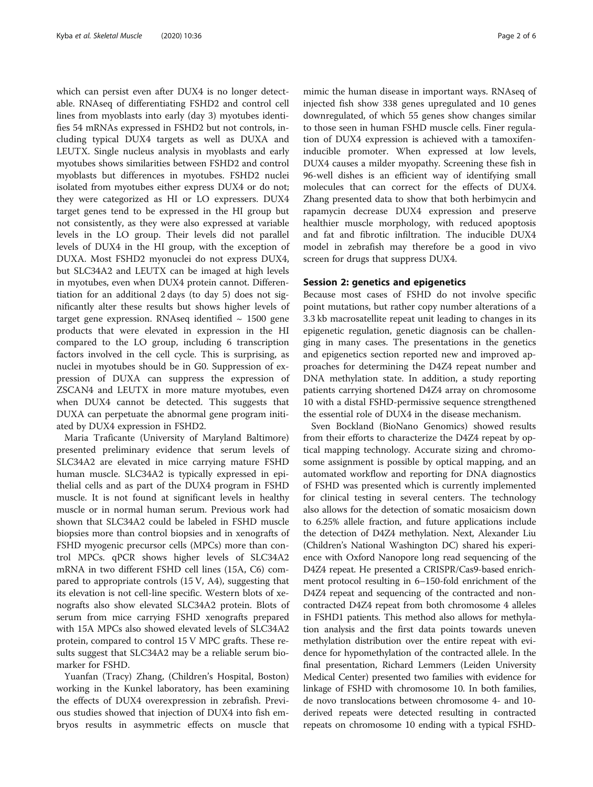which can persist even after DUX4 is no longer detectable. RNAseq of differentiating FSHD2 and control cell lines from myoblasts into early (day 3) myotubes identifies 54 mRNAs expressed in FSHD2 but not controls, including typical DUX4 targets as well as DUXA and LEUTX. Single nucleus analysis in myoblasts and early myotubes shows similarities between FSHD2 and control myoblasts but differences in myotubes. FSHD2 nuclei isolated from myotubes either express DUX4 or do not; they were categorized as HI or LO expressers. DUX4 target genes tend to be expressed in the HI group but not consistently, as they were also expressed at variable levels in the LO group. Their levels did not parallel levels of DUX4 in the HI group, with the exception of DUXA. Most FSHD2 myonuclei do not express DUX4, but SLC34A2 and LEUTX can be imaged at high levels in myotubes, even when DUX4 protein cannot. Differentiation for an additional 2 days (to day 5) does not significantly alter these results but shows higher levels of target gene expression. RNAseq identified  $\sim 1500$  gene products that were elevated in expression in the HI compared to the LO group, including 6 transcription factors involved in the cell cycle. This is surprising, as nuclei in myotubes should be in G0. Suppression of expression of DUXA can suppress the expression of ZSCAN4 and LEUTX in more mature myotubes, even when DUX4 cannot be detected. This suggests that DUXA can perpetuate the abnormal gene program initiated by DUX4 expression in FSHD2.

Maria Traficante (University of Maryland Baltimore) presented preliminary evidence that serum levels of SLC34A2 are elevated in mice carrying mature FSHD human muscle. SLC34A2 is typically expressed in epithelial cells and as part of the DUX4 program in FSHD muscle. It is not found at significant levels in healthy muscle or in normal human serum. Previous work had shown that SLC34A2 could be labeled in FSHD muscle biopsies more than control biopsies and in xenografts of FSHD myogenic precursor cells (MPCs) more than control MPCs. qPCR shows higher levels of SLC34A2 mRNA in two different FSHD cell lines (15A, C6) compared to appropriate controls (15 V, A4), suggesting that its elevation is not cell-line specific. Western blots of xenografts also show elevated SLC34A2 protein. Blots of serum from mice carrying FSHD xenografts prepared with 15A MPCs also showed elevated levels of SLC34A2 protein, compared to control 15 V MPC grafts. These results suggest that SLC34A2 may be a reliable serum biomarker for FSHD.

Yuanfan (Tracy) Zhang, (Children's Hospital, Boston) working in the Kunkel laboratory, has been examining the effects of DUX4 overexpression in zebrafish. Previous studies showed that injection of DUX4 into fish embryos results in asymmetric effects on muscle that

mimic the human disease in important ways. RNAseq of injected fish show 338 genes upregulated and 10 genes downregulated, of which 55 genes show changes similar to those seen in human FSHD muscle cells. Finer regulation of DUX4 expression is achieved with a tamoxifeninducible promoter. When expressed at low levels, DUX4 causes a milder myopathy. Screening these fish in 96-well dishes is an efficient way of identifying small molecules that can correct for the effects of DUX4. Zhang presented data to show that both herbimycin and rapamycin decrease DUX4 expression and preserve healthier muscle morphology, with reduced apoptosis and fat and fibrotic infiltration. The inducible DUX4 model in zebrafish may therefore be a good in vivo screen for drugs that suppress DUX4.

## Session 2: genetics and epigenetics

Because most cases of FSHD do not involve specific point mutations, but rather copy number alterations of a 3.3 kb macrosatellite repeat unit leading to changes in its epigenetic regulation, genetic diagnosis can be challenging in many cases. The presentations in the genetics and epigenetics section reported new and improved approaches for determining the D4Z4 repeat number and DNA methylation state. In addition, a study reporting patients carrying shortened D4Z4 array on chromosome 10 with a distal FSHD-permissive sequence strengthened the essential role of DUX4 in the disease mechanism.

Sven Bockland (BioNano Genomics) showed results from their efforts to characterize the D4Z4 repeat by optical mapping technology. Accurate sizing and chromosome assignment is possible by optical mapping, and an automated workflow and reporting for DNA diagnostics of FSHD was presented which is currently implemented for clinical testing in several centers. The technology also allows for the detection of somatic mosaicism down to 6.25% allele fraction, and future applications include the detection of D4Z4 methylation. Next, Alexander Liu (Children's National Washington DC) shared his experience with Oxford Nanopore long read sequencing of the D4Z4 repeat. He presented a CRISPR/Cas9-based enrichment protocol resulting in 6–150-fold enrichment of the D4Z4 repeat and sequencing of the contracted and noncontracted D4Z4 repeat from both chromosome 4 alleles in FSHD1 patients. This method also allows for methylation analysis and the first data points towards uneven methylation distribution over the entire repeat with evidence for hypomethylation of the contracted allele. In the final presentation, Richard Lemmers (Leiden University Medical Center) presented two families with evidence for linkage of FSHD with chromosome 10. In both families, de novo translocations between chromosome 4- and 10 derived repeats were detected resulting in contracted repeats on chromosome 10 ending with a typical FSHD-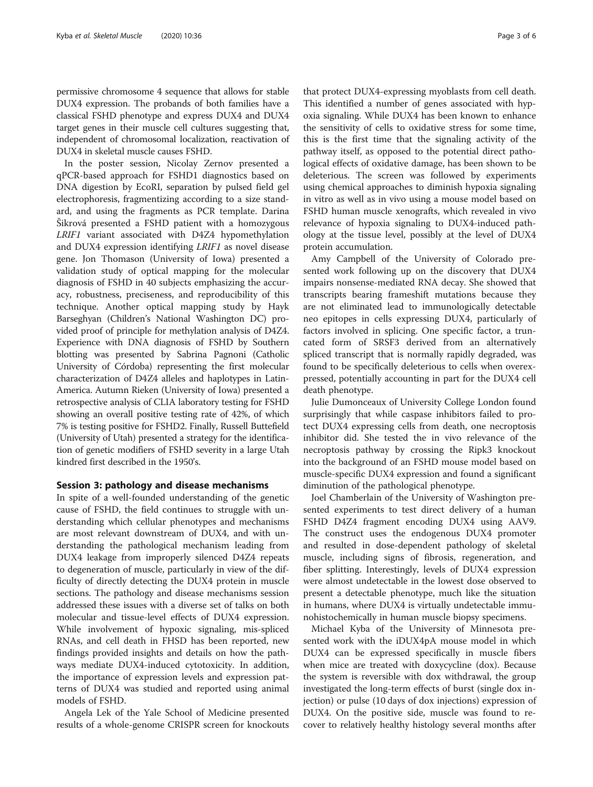permissive chromosome 4 sequence that allows for stable DUX4 expression. The probands of both families have a classical FSHD phenotype and express DUX4 and DUX4 target genes in their muscle cell cultures suggesting that, independent of chromosomal localization, reactivation of DUX4 in skeletal muscle causes FSHD.

In the poster session, Nicolay Zernov presented a qPCR-based approach for FSHD1 diagnostics based on DNA digestion by EcoRI, separation by pulsed field gel electrophoresis, fragmentizing according to a size standard, and using the fragments as PCR template. Darina Šikrová presented a FSHD patient with a homozygous LRIF1 variant associated with D4Z4 hypomethylation and DUX4 expression identifying LRIF1 as novel disease gene. Jon Thomason (University of Iowa) presented a validation study of optical mapping for the molecular diagnosis of FSHD in 40 subjects emphasizing the accuracy, robustness, preciseness, and reproducibility of this technique. Another optical mapping study by Hayk Barseghyan (Children's National Washington DC) provided proof of principle for methylation analysis of D4Z4. Experience with DNA diagnosis of FSHD by Southern blotting was presented by Sabrina Pagnoni (Catholic University of Córdoba) representing the first molecular characterization of D4Z4 alleles and haplotypes in Latin-America. Autumn Rieken (University of Iowa) presented a retrospective analysis of CLIA laboratory testing for FSHD showing an overall positive testing rate of 42%, of which 7% is testing positive for FSHD2. Finally, Russell Buttefield (University of Utah) presented a strategy for the identification of genetic modifiers of FSHD severity in a large Utah kindred first described in the 1950's.

#### Session 3: pathology and disease mechanisms

In spite of a well-founded understanding of the genetic cause of FSHD, the field continues to struggle with understanding which cellular phenotypes and mechanisms are most relevant downstream of DUX4, and with understanding the pathological mechanism leading from DUX4 leakage from improperly silenced D4Z4 repeats to degeneration of muscle, particularly in view of the difficulty of directly detecting the DUX4 protein in muscle sections. The pathology and disease mechanisms session addressed these issues with a diverse set of talks on both molecular and tissue-level effects of DUX4 expression. While involvement of hypoxic signaling, mis-spliced RNAs, and cell death in FHSD has been reported, new findings provided insights and details on how the pathways mediate DUX4-induced cytotoxicity. In addition, the importance of expression levels and expression patterns of DUX4 was studied and reported using animal models of FSHD.

Angela Lek of the Yale School of Medicine presented results of a whole-genome CRISPR screen for knockouts

that protect DUX4-expressing myoblasts from cell death. This identified a number of genes associated with hypoxia signaling. While DUX4 has been known to enhance the sensitivity of cells to oxidative stress for some time, this is the first time that the signaling activity of the pathway itself, as opposed to the potential direct pathological effects of oxidative damage, has been shown to be deleterious. The screen was followed by experiments using chemical approaches to diminish hypoxia signaling in vitro as well as in vivo using a mouse model based on FSHD human muscle xenografts, which revealed in vivo relevance of hypoxia signaling to DUX4-induced pathology at the tissue level, possibly at the level of DUX4 protein accumulation.

Amy Campbell of the University of Colorado presented work following up on the discovery that DUX4 impairs nonsense-mediated RNA decay. She showed that transcripts bearing frameshift mutations because they are not eliminated lead to immunologically detectable neo epitopes in cells expressing DUX4, particularly of factors involved in splicing. One specific factor, a truncated form of SRSF3 derived from an alternatively spliced transcript that is normally rapidly degraded, was found to be specifically deleterious to cells when overexpressed, potentially accounting in part for the DUX4 cell death phenotype.

Julie Dumonceaux of University College London found surprisingly that while caspase inhibitors failed to protect DUX4 expressing cells from death, one necroptosis inhibitor did. She tested the in vivo relevance of the necroptosis pathway by crossing the Ripk3 knockout into the background of an FSHD mouse model based on muscle-specific DUX4 expression and found a significant diminution of the pathological phenotype.

Joel Chamberlain of the University of Washington presented experiments to test direct delivery of a human FSHD D4Z4 fragment encoding DUX4 using AAV9. The construct uses the endogenous DUX4 promoter and resulted in dose-dependent pathology of skeletal muscle, including signs of fibrosis, regeneration, and fiber splitting. Interestingly, levels of DUX4 expression were almost undetectable in the lowest dose observed to present a detectable phenotype, much like the situation in humans, where DUX4 is virtually undetectable immunohistochemically in human muscle biopsy specimens.

Michael Kyba of the University of Minnesota presented work with the iDUX4pA mouse model in which DUX4 can be expressed specifically in muscle fibers when mice are treated with doxycycline (dox). Because the system is reversible with dox withdrawal, the group investigated the long-term effects of burst (single dox injection) or pulse (10 days of dox injections) expression of DUX4. On the positive side, muscle was found to recover to relatively healthy histology several months after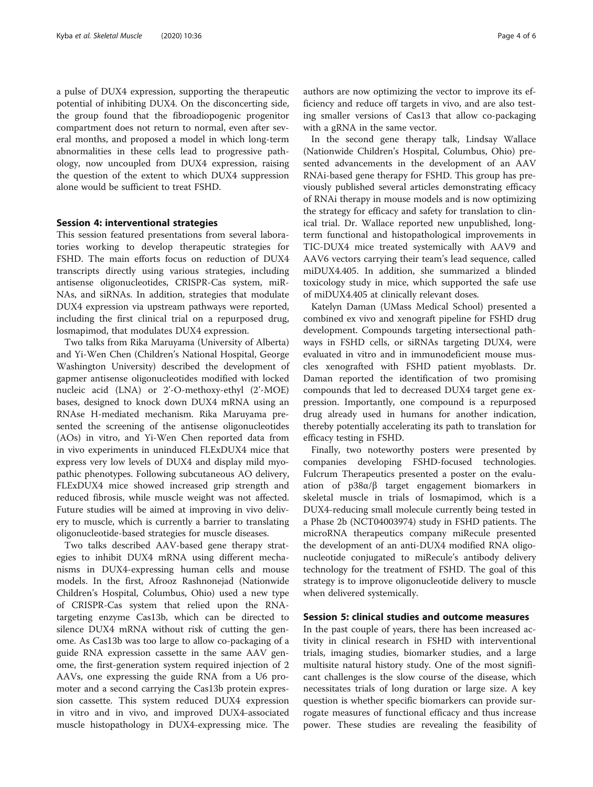a pulse of DUX4 expression, supporting the therapeutic potential of inhibiting DUX4. On the disconcerting side, the group found that the fibroadiopogenic progenitor compartment does not return to normal, even after several months, and proposed a model in which long-term abnormalities in these cells lead to progressive pathology, now uncoupled from DUX4 expression, raising the question of the extent to which DUX4 suppression alone would be sufficient to treat FSHD.

#### Session 4: interventional strategies

This session featured presentations from several laboratories working to develop therapeutic strategies for FSHD. The main efforts focus on reduction of DUX4 transcripts directly using various strategies, including antisense oligonucleotides, CRISPR-Cas system, miR-NAs, and siRNAs. In addition, strategies that modulate DUX4 expression via upstream pathways were reported, including the first clinical trial on a repurposed drug, losmapimod, that modulates DUX4 expression.

Two talks from Rika Maruyama (University of Alberta) and Yi-Wen Chen (Children's National Hospital, George Washington University) described the development of gapmer antisense oligonucleotides modified with locked nucleic acid (LNA) or 2'-O-methoxy-ethyl (2'-MOE) bases, designed to knock down DUX4 mRNA using an RNAse H-mediated mechanism. Rika Maruyama presented the screening of the antisense oligonucleotides (AOs) in vitro, and Yi-Wen Chen reported data from in vivo experiments in uninduced FLExDUX4 mice that express very low levels of DUX4 and display mild myopathic phenotypes. Following subcutaneous AO delivery, FLExDUX4 mice showed increased grip strength and reduced fibrosis, while muscle weight was not affected. Future studies will be aimed at improving in vivo delivery to muscle, which is currently a barrier to translating oligonucleotide-based strategies for muscle diseases.

Two talks described AAV-based gene therapy strategies to inhibit DUX4 mRNA using different mechanisms in DUX4-expressing human cells and mouse models. In the first, Afrooz Rashnonejad (Nationwide Children's Hospital, Columbus, Ohio) used a new type of CRISPR-Cas system that relied upon the RNAtargeting enzyme Cas13b, which can be directed to silence DUX4 mRNA without risk of cutting the genome. As Cas13b was too large to allow co-packaging of a guide RNA expression cassette in the same AAV genome, the first-generation system required injection of 2 AAVs, one expressing the guide RNA from a U6 promoter and a second carrying the Cas13b protein expression cassette. This system reduced DUX4 expression in vitro and in vivo, and improved DUX4-associated muscle histopathology in DUX4-expressing mice. The authors are now optimizing the vector to improve its efficiency and reduce off targets in vivo, and are also testing smaller versions of Cas13 that allow co-packaging with a gRNA in the same vector.

In the second gene therapy talk, Lindsay Wallace (Nationwide Children's Hospital, Columbus, Ohio) presented advancements in the development of an AAV RNAi-based gene therapy for FSHD. This group has previously published several articles demonstrating efficacy of RNAi therapy in mouse models and is now optimizing the strategy for efficacy and safety for translation to clinical trial. Dr. Wallace reported new unpublished, longterm functional and histopathological improvements in TIC-DUX4 mice treated systemically with AAV9 and AAV6 vectors carrying their team's lead sequence, called miDUX4.405. In addition, she summarized a blinded toxicology study in mice, which supported the safe use of miDUX4.405 at clinically relevant doses.

Katelyn Daman (UMass Medical School) presented a combined ex vivo and xenograft pipeline for FSHD drug development. Compounds targeting intersectional pathways in FSHD cells, or siRNAs targeting DUX4, were evaluated in vitro and in immunodeficient mouse muscles xenografted with FSHD patient myoblasts. Dr. Daman reported the identification of two promising compounds that led to decreased DUX4 target gene expression. Importantly, one compound is a repurposed drug already used in humans for another indication, thereby potentially accelerating its path to translation for efficacy testing in FSHD.

Finally, two noteworthy posters were presented by companies developing FSHD-focused technologies. Fulcrum Therapeutics presented a poster on the evaluation of p38α/β target engagement biomarkers in skeletal muscle in trials of losmapimod, which is a DUX4-reducing small molecule currently being tested in a Phase 2b (NCT04003974) study in FSHD patients. The microRNA therapeutics company miRecule presented the development of an anti-DUX4 modified RNA oligonucleotide conjugated to miRecule's antibody delivery technology for the treatment of FSHD. The goal of this strategy is to improve oligonucleotide delivery to muscle when delivered systemically.

# Session 5: clinical studies and outcome measures

In the past couple of years, there has been increased activity in clinical research in FSHD with interventional trials, imaging studies, biomarker studies, and a large multisite natural history study. One of the most significant challenges is the slow course of the disease, which necessitates trials of long duration or large size. A key question is whether specific biomarkers can provide surrogate measures of functional efficacy and thus increase power. These studies are revealing the feasibility of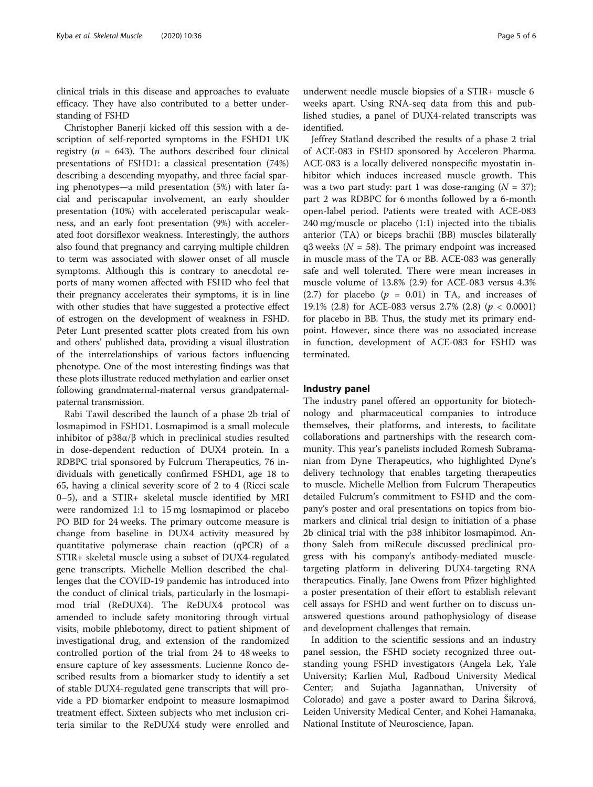clinical trials in this disease and approaches to evaluate efficacy. They have also contributed to a better understanding of FSHD

Christopher Banerji kicked off this session with a description of self-reported symptoms in the FSHD1 UK registry ( $n = 643$ ). The authors described four clinical presentations of FSHD1: a classical presentation (74%) describing a descending myopathy, and three facial sparing phenotypes—a mild presentation (5%) with later facial and periscapular involvement, an early shoulder presentation (10%) with accelerated periscapular weakness, and an early foot presentation (9%) with accelerated foot dorsiflexor weakness. Interestingly, the authors also found that pregnancy and carrying multiple children to term was associated with slower onset of all muscle symptoms. Although this is contrary to anecdotal reports of many women affected with FSHD who feel that their pregnancy accelerates their symptoms, it is in line with other studies that have suggested a protective effect of estrogen on the development of weakness in FSHD. Peter Lunt presented scatter plots created from his own and others' published data, providing a visual illustration of the interrelationships of various factors influencing phenotype. One of the most interesting findings was that these plots illustrate reduced methylation and earlier onset following grandmaternal-maternal versus grandpaternalpaternal transmission.

Rabi Tawil described the launch of a phase 2b trial of losmapimod in FSHD1. Losmapimod is a small molecule inhibitor of  $p38\alpha/\beta$  which in preclinical studies resulted in dose-dependent reduction of DUX4 protein. In a RDBPC trial sponsored by Fulcrum Therapeutics, 76 individuals with genetically confirmed FSHD1, age 18 to 65, having a clinical severity score of 2 to 4 (Ricci scale 0–5), and a STIR+ skeletal muscle identified by MRI were randomized 1:1 to 15 mg losmapimod or placebo PO BID for 24 weeks. The primary outcome measure is change from baseline in DUX4 activity measured by quantitative polymerase chain reaction (qPCR) of a STIR+ skeletal muscle using a subset of DUX4-regulated gene transcripts. Michelle Mellion described the challenges that the COVID-19 pandemic has introduced into the conduct of clinical trials, particularly in the losmapimod trial (ReDUX4). The ReDUX4 protocol was amended to include safety monitoring through virtual visits, mobile phlebotomy, direct to patient shipment of investigational drug, and extension of the randomized controlled portion of the trial from 24 to 48 weeks to ensure capture of key assessments. Lucienne Ronco described results from a biomarker study to identify a set of stable DUX4-regulated gene transcripts that will provide a PD biomarker endpoint to measure losmapimod treatment effect. Sixteen subjects who met inclusion criteria similar to the ReDUX4 study were enrolled and

underwent needle muscle biopsies of a STIR+ muscle 6 weeks apart. Using RNA-seq data from this and published studies, a panel of DUX4-related transcripts was identified.

Jeffrey Statland described the results of a phase 2 trial of ACE-083 in FSHD sponsored by Acceleron Pharma. ACE-083 is a locally delivered nonspecific myostatin inhibitor which induces increased muscle growth. This was a two part study: part 1 was dose-ranging  $(N = 37)$ ; part 2 was RDBPC for 6 months followed by a 6-month open-label period. Patients were treated with ACE-083 240 mg/muscle or placebo (1:1) injected into the tibialis anterior (TA) or biceps brachii (BB) muscles bilaterally  $q3$  weeks ( $N = 58$ ). The primary endpoint was increased in muscle mass of the TA or BB. ACE-083 was generally safe and well tolerated. There were mean increases in muscle volume of 13.8% (2.9) for ACE-083 versus 4.3% (2.7) for placebo ( $p = 0.01$ ) in TA, and increases of 19.1% (2.8) for ACE-083 versus 2.7% (2.8) ( $p < 0.0001$ ) for placebo in BB. Thus, the study met its primary endpoint. However, since there was no associated increase in function, development of ACE-083 for FSHD was terminated.

### Industry panel

The industry panel offered an opportunity for biotechnology and pharmaceutical companies to introduce themselves, their platforms, and interests, to facilitate collaborations and partnerships with the research community. This year's panelists included Romesh Subramanian from Dyne Therapeutics, who highlighted Dyne's delivery technology that enables targeting therapeutics to muscle. Michelle Mellion from Fulcrum Therapeutics detailed Fulcrum's commitment to FSHD and the company's poster and oral presentations on topics from biomarkers and clinical trial design to initiation of a phase 2b clinical trial with the p38 inhibitor losmapimod. Anthony Saleh from miRecule discussed preclinical progress with his company's antibody-mediated muscletargeting platform in delivering DUX4-targeting RNA therapeutics. Finally, Jane Owens from Pfizer highlighted a poster presentation of their effort to establish relevant cell assays for FSHD and went further on to discuss unanswered questions around pathophysiology of disease and development challenges that remain.

In addition to the scientific sessions and an industry panel session, the FSHD society recognized three outstanding young FSHD investigators (Angela Lek, Yale University; Karlien Mul, Radboud University Medical Center; and Sujatha Jagannathan, University of Colorado) and gave a poster award to Darina Šikrová, Leiden University Medical Center, and Kohei Hamanaka, National Institute of Neuroscience, Japan.